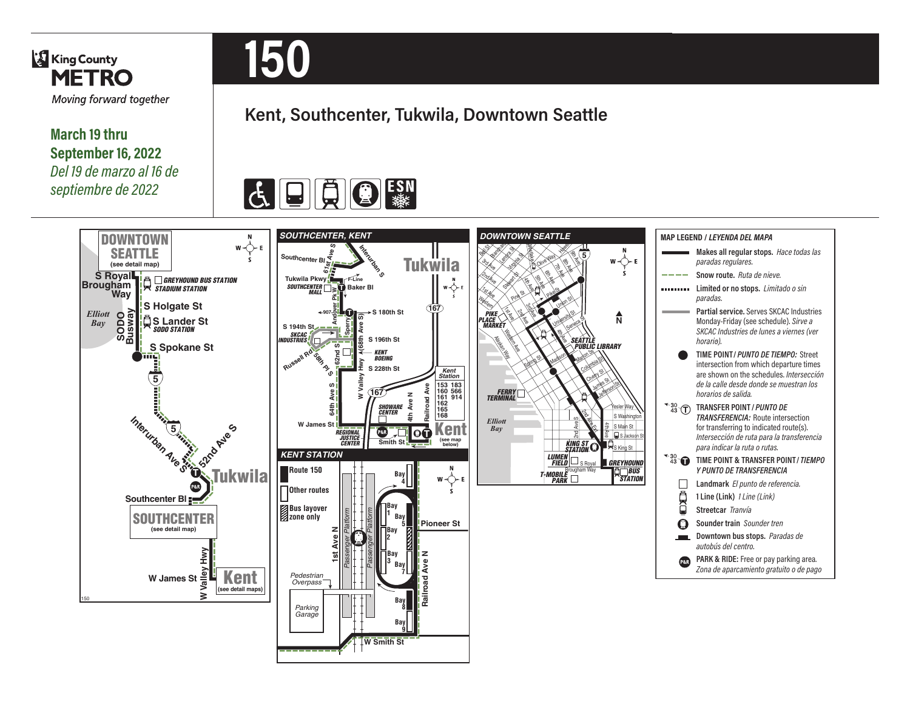**King County METRO** Moving forward together



**Kent, Southcenter, Tukwila, Downtown Seattle**

**March 19 thru September 16, 2022** *Del 19 de marzo al 16 de septiembre de 2022*

# EEEEE ESN

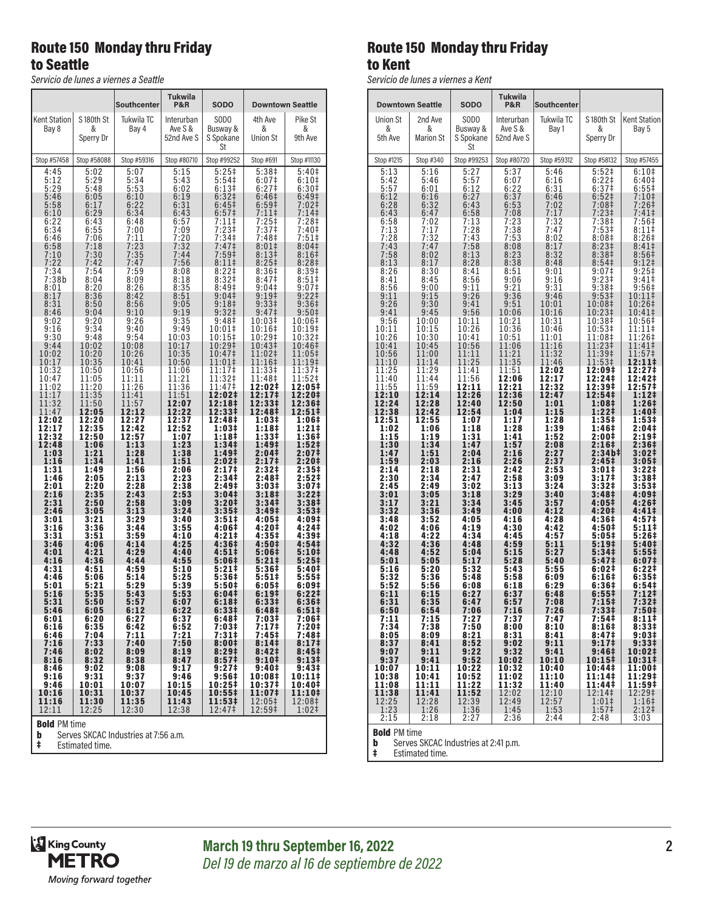## Route 150 Monday thru Friday to Seattle

*Servicio de lunes a viernes a Seattle*

|                              |                              | <b>Southcenter</b>           | <b>Tukwila</b><br>P&R<br><b>SODO</b> |                                                 |                                              | <b>Downtown Seattle</b>                      |  |
|------------------------------|------------------------------|------------------------------|--------------------------------------|-------------------------------------------------|----------------------------------------------|----------------------------------------------|--|
| <b>Kent Station</b>          | S 180th St                   | Tukwila TC                   | Interurban                           | SODO                                            | 4th Ave                                      | Pike St                                      |  |
| Bay 8                        | &<br>Sperry Dr               | Bay 4                        | Ave S &<br>52nd Ave S                | Busway &<br>S Spokane<br>St                     | &<br><b>Union St</b>                         | &<br>9th Ave                                 |  |
| Stop #57458                  | Stop #58088                  | Stop #59316                  | Stop #80710                          | Stop #99252                                     | Stop #691                                    | Stop #11130                                  |  |
| 4:45<br>5:12<br>5:29<br>5:46 | 5:02<br>5:29<br>5:48<br>6:05 | 5:07<br>5:34<br>5:53<br>6:10 | 5:15<br>5:43<br>6:02<br>6:19         | $5:25$ ‡<br>5:54‡<br>6:13‡                      | 5:38‡<br>6:07 <sup>‡</sup><br>6:27‡<br>6:46‡ | 5:40 <sup>‡</sup><br>6:10‡<br>6:30‡<br>6:49‡ |  |
| 5:58<br>6:10                 | 6:17<br>6:29                 | 6:22<br>6:34                 | 6:31<br>6:43                         | 6:32 <sup>‡</sup><br>6:45 <sup>‡</sup><br>6:57‡ | 6:59 <sup>‡</sup><br>7:11‡                   | $7:02$ ‡<br>7:14                             |  |
| 6:22                         | 6:43                         | 6:48                         | 6:57                                 | 7:11‡                                           | 7:25‡                                        | 7:28‡                                        |  |
| 6:34                         | 6:55                         | 7:00                         | 7:09                                 | 7:23‡                                           | 7:37‡                                        | 7:40‡                                        |  |
| 6:46                         | 7:06                         | 7:11                         | 7:20                                 | 7:34 <sup>‡</sup>                               | 7:48‡                                        | 7:51‡                                        |  |
| 6:58                         | 7:18                         | 7:23                         | 7:32                                 | 7:47‡                                           | 8:01 <sup>‡</sup>                            | 8:04‡                                        |  |
| 7:10                         | 7:30                         | 7:35                         | 7:44                                 | 7:59‡                                           | 8:13‡                                        | 8:16‡                                        |  |
| 7:22                         | 7:42                         | 7:47                         | 7:56                                 | 8:11                                            | $8:25+$                                      | 8:28‡                                        |  |
| 7:34                         | 7:54                         | 7:59                         | 8:08                                 | 8:22‡                                           | 8:36‡                                        | 8:39‡                                        |  |
| 7:38b                        | 8:04                         | 8:09                         | 8:18                                 | 8:32‡                                           | 8:47 <sup>‡</sup>                            | 8:51                                         |  |
| 8:01                         | 8:20                         | 8:26                         | 8:35                                 | 8:49 <sup>‡</sup>                               | 9:04 <sup>‡</sup>                            | 9:07‡                                        |  |
| 8:17                         | 8:36                         | 8:42                         | 8:51                                 | 9:04                                            | $9:19+$                                      | 9:22‡                                        |  |
| 8:31                         | 8:50                         | 8:56                         | 9:05                                 | $9:18+$                                         | 9:331                                        | 9:36‡                                        |  |
| 8:46                         | 9:04                         | 9:10                         | 9:19                                 | 9:32‡                                           | 9:47‡                                        | 9:50‡                                        |  |
| 9:02                         | 9:20                         | 9:26                         | 9:35                                 | 9:48‡                                           | 10:03‡                                       | 10:06‡                                       |  |
| 9:16                         | 9:34                         | 9:40                         | 9:49                                 | 10:01‡                                          | 10:16‡                                       | 10:19‡                                       |  |
| 9:30                         | 9:48                         | 9:54                         | 10:03                                | 10:15‡                                          | 10:29‡                                       | 10:32‡                                       |  |
| 9:44                         | 10:02                        | 10:08                        | 10:17                                | 10:29‡                                          | 10:43‡                                       | 10:46‡                                       |  |
| 10:02                        | 10:20                        | 10:26                        | 10:35                                | 10:47‡                                          | 11:02‡                                       | 11:05‡                                       |  |
| 10:17                        | 10:35                        | 10:41                        | 10:50                                | 11:01‡                                          | 11:16‡                                       | 11:19‡                                       |  |
| 10:32                        | 10:50                        | 10:56                        | 11:06                                | 11:17‡                                          | 11:33‡                                       | 11:37‡                                       |  |
| 10:47                        | 11:05                        | 11:11                        | 11:21                                | 11:32‡                                          | 11:48‡                                       | 11:52‡                                       |  |
| 11:02                        | 11:20                        | 11:26                        | 11:36                                | 11:47‡                                          | 12:02‡                                       | 12:05‡                                       |  |
| 11:17                        | 11:35                        | 11:41                        | 11:51                                | 12:02‡                                          | 12:17‡                                       | 12:20‡                                       |  |
| 11:32                        | 11:50                        | 11:57                        | 12:07                                | 12:18‡                                          | 12:33‡                                       | 12:36‡                                       |  |
| 11:47                        | 12:05                        | 12:12                        | 12:22                                | 12:33‡                                          | 12:48‡                                       | 12:51‡                                       |  |
| 12:02                        | 12:20                        | 12:27                        | 12:37                                | 12:48‡                                          | 1:03‡                                        | 1:06‡                                        |  |
| 12:17                        | 12:35                        | 12:42                        | 12:52                                | $1:03+$                                         | 1:18‡                                        | 1:21‡                                        |  |
| 12:32                        | 12:50                        | 12:57                        | 1:07                                 | 1:18 <sup>‡</sup>                               | 1:33‡                                        | 1:36‡                                        |  |
| 12:48                        | 1:06                         | 1:13                         | 1:23                                 | 1:34‡                                           | 1:49‡                                        | 1:52‡                                        |  |
| 1:03                         | 1:21                         | 1:28                         | 1:38                                 | 1:49‡                                           | 2:04‡                                        | 2:07‡                                        |  |
| 1:16                         | 1:34                         | 1:41                         | 1:51                                 | 2:02‡                                           | 2:17 <sup>‡</sup>                            | 2:20‡                                        |  |
| 1:31                         | 1:49                         | 1:56                         | 2:06                                 | 2:17‡                                           | 2:32 <sup>‡</sup>                            | 2:35‡                                        |  |
| 1:46                         | 2:05                         | 2:13                         | 2:23                                 | 2:34‡                                           | 2:48‡                                        | 2:52‡                                        |  |
| 2:01                         | 2:20                         | 2:28                         | 2:38                                 | 2:49 <sup>‡</sup>                               | 3:03‡                                        | 3:07‡                                        |  |
| 2:16                         | 2:35                         | 2:43                         | 2:53                                 | 3:04‡                                           | 3:18‡                                        | 3:22‡                                        |  |
| 2:31                         | 2:50                         | 2:58                         | 3:09                                 | 3:20‡                                           | 3:34‡                                        | 3:38‡                                        |  |
| 2:46                         | 3:05                         | 3:13                         | 3:24                                 | 3:35‡                                           | 3:49 <sup>‡</sup>                            | 3:53‡                                        |  |
| 3:01                         | 3:21                         | 3:29                         | 3:40                                 | 3:51‡                                           | 4:05‡                                        | 4:09‡                                        |  |
| 3:16                         | 3:36                         | 3:44                         | 3:55                                 | 4:06‡                                           | 4:20‡                                        | 4:24‡                                        |  |
| 3:31                         | 3:51                         | 3:59                         | 4:10                                 | 4:21‡                                           | 4:35#                                        | 4:39‡                                        |  |
| 3:46                         | 4:06                         | 4:14                         | 4:25                                 | 4:36‡                                           | 4:50‡                                        | 4:54‡                                        |  |
| 4:01                         | 4:21                         | 4:29                         | 4:40                                 | 4:51‡                                           | 5:06‡                                        | 5:10‡                                        |  |
| 4:16                         | 4:36                         | 4:44                         | 4:55                                 | 5:06‡                                           | 5:21‡                                        | $5:25+$                                      |  |
| 4:31                         | 4:51                         | 4:59                         | 5:10                                 | 5:21‡                                           | 5:36‡                                        | 5:40‡                                        |  |
| 4:46                         | 5:06                         | 5:14                         | 5:25                                 | 5:36‡                                           | 5:51‡                                        | 5:55‡                                        |  |
| 5:01                         | 5:21                         | 5:29                         | 5:39                                 | 5:50‡                                           | 6:05‡                                        | 6:09‡                                        |  |
| 5:16                         | 5:35                         | 5:43                         | 5:53                                 | 6:04‡                                           | 6:19 <sup>‡</sup>                            | 6:221                                        |  |
| 5:31                         | 5:50                         | 5:57                         | 6:07                                 | 6:18‡                                           | 6:33#                                        | 6:36#                                        |  |
| 5:46                         | 6:05                         | 6:12                         | 6:22                                 | 6:33‡                                           | 6:48 <sup>‡</sup>                            | $6:51\ddagger$                               |  |
| 6:01                         | 6:20                         | 6:27                         | 6:37                                 | 6:48‡                                           | 7:03‡                                        | 7:06‡                                        |  |
| 6:16                         | 6:35                         | 6:42                         | 6:52                                 | 7:03‡                                           | 7:17‡                                        | 7:20‡                                        |  |
| 6:46                         | 7:04                         | 7:11                         | 7:21                                 | 7:31‡                                           | 7:45‡                                        | 7:48‡                                        |  |
| 7:16                         | 7:33                         | 7:40                         | 7:50                                 | 8:00‡                                           | 8:14 <sup>‡</sup>                            | 8:17 <sup>‡</sup>                            |  |
| 7:46<br>8:16<br>8:46         | 8:02<br>8:32<br>9:02         | 8:09<br>8:38<br>9:08         | 8:19<br>8:47<br>9:17                 | 8:29‡<br>8:57‡<br>9:27‡                         | 8:42‡<br>9:10‡<br>9:40‡                      | 8:45‡<br>9:13‡<br>9:43‡                      |  |
| 9:16                         | 9:31                         | 9:37                         | 9:46                                 | 9:56‡                                           | 10:08‡                                       | $10:11*$                                     |  |
| 9:46                         | 10:01                        | 10:07                        | 10:15                                | 10:25‡                                          | 10:37‡                                       | 10:40‡                                       |  |
| 10:16                        | 10:31                        | 10:37                        | 10:45                                | 10:55‡                                          | 11:07‡                                       | 11:10‡                                       |  |
| 11:16                        | 11:30                        | 11:35                        | 11:43                                | 11:53‡                                          | 12:05‡                                       | 12:08‡                                       |  |
| 12:11                        | 12:25                        | 12:30                        | 12:38                                | 12:47‡                                          | 12:59‡                                       | 1:02‡                                        |  |

**b** Serves SKCAC Industries at 7:56 a.m. **b** Serves SKCAC In<br>**‡** Estimated time.

## Route 150 Monday thru Friday to Kent

*Servicio de lunes a viernes a Kent*

|                     | <b>Downtown Seattle</b> | <b>SODO</b>           | <b>Tukwila</b><br>P&R | <b>Southcenter</b> |                            |                   |  |
|---------------------|-------------------------|-----------------------|-----------------------|--------------------|----------------------------|-------------------|--|
| Union St            | 2nd Ave                 | SOD <sub>0</sub>      | Interurban            | Tukwila TC         | S180th St<br>&             | Kent Station      |  |
| &<br>5th Ave        | &<br><b>Marion St</b>   | Busway &<br>S Spokane | Ave S &<br>52nd Ave S | Bay 1              | Sperry Dr                  | Bay 5             |  |
|                     |                         | St                    |                       |                    |                            |                   |  |
| Stop #1215          | Stop #340               | Stop #99253           | Stop #80720           | Stop #59312        | Stop #58132                | Stop #57455       |  |
| 5:13                | 5:16                    | 5:27                  |                       | 5:46               | 5:52‡                      | 6:10 <sup>‡</sup> |  |
| 5:42                | 5:46                    | 5:57<br>6:12          | 5:37<br>6:07          | 6:16               | $6:22 \ddagger$            | 6:40‡             |  |
| 5:57                | 6:01                    | 6:27                  | 6:22                  | 6:31               | 6:37 <sup>‡</sup>          | 6:55 <sup>‡</sup> |  |
| 6:12                | 6:16                    |                       | 6:37                  | 6:46               | $6:52$ ‡                   | 7:10‡             |  |
| 6:28                | 6:32                    | 6:43                  | 6:53                  | 7:02               | 7:08‡                      | 7:26‡             |  |
| 6:43                | 6:47                    | 6:58                  | 7:08                  | 7:17               | $7:23+$                    | 7:41              |  |
| 6:58                | 7:02                    | 7:13                  | 7:23                  | 7:32               | 7:38‡                      | 7:56‡             |  |
| 7:13                | 7:17                    | 7:28                  | 7:38                  | 7:47               | $7:53+$                    | 8:11‡             |  |
| 7:28                | 7:32                    | 7:43                  | 7:53                  | 8:02               | 8:08 <sup>‡</sup>          | 8:26‡             |  |
| 7:43                | 7:47                    | 7:58                  | 8:08                  | 8:17               | 8:23 <sup>‡</sup>          | 8:41‡             |  |
| 7:58                | 8:02                    | 8:13                  | 8:23                  | 8:32               | 8:38 <sup>‡</sup>          | 8:56‡             |  |
| 8:13                | 8:17                    | 8:28                  | 8:38                  | 8:48               | 8:54 <sup>‡</sup>          | 9:12‡             |  |
| 8:26                | 8:30                    | 8:41                  | 8:51                  | 9:01               | $9:07$ ‡                   | 9:25‡             |  |
| 8:41                | 8:45<br>9:00            | 8:56<br>9:11          | 9:06<br>9:21          | 9:16<br>9:31       | 9:23‡<br>9:38 <sup>‡</sup> | 9:41‡             |  |
| 8:56<br>9:11        | 9:15                    | 9:26                  | 9:36                  | 9:46               | 9:53‡                      | 9:56‡<br>10:11    |  |
| 9:26                | 9:30                    | 9:41                  | 9:51                  | 10:01              | 10:08‡                     | 10:26‡            |  |
| 9:41                | 9:45                    | 9:56                  | 10:06                 | 10:16              | 10:23‡                     | 10:41‡            |  |
| 9:56                | 10:00                   | 10:11                 | 10:21                 | 10:31              | 10:38‡                     | 10:56‡            |  |
| 10:11               | 10:15                   | 10:26                 | 10:36                 | 10:46              | 10:53‡                     | 11:11‡            |  |
| 10:26               | 10:30                   | 10:41                 | 10:51                 | 11:01              | 11:08‡                     | 11:26‡            |  |
| 10:41               | 10:45                   | 10:56                 | 11:06                 | 11:16              | 11:23‡                     | 11:41‡            |  |
| 10:56               | 11:00                   | 11:11                 | 11:21                 | 11:32              | 11:39‡                     | 11:57‡            |  |
| 11:10               | 11:14                   | 11:25                 | 11:35                 | 11:46              | 11:53‡                     | 12:11‡            |  |
| 11:25               | 11:29                   | 11:41                 | 11:51                 | 12:02              | 12:09‡                     | 12:27‡            |  |
| 11:40               | 11:44                   | 11:56                 | 12:06                 | 12:17              | 12:24‡                     | 12:42‡            |  |
| 11:55               | 11:59                   | 12:11                 | 12:21                 | 12:32              | 12:39‡                     | 12:57‡            |  |
| 12:10<br>12:24      | 12:14<br>12:28          | 12:26<br>12:40        | 12:36<br>12:50        | 12:47<br>1:01      | 12:54‡                     | 1:12‡             |  |
| 12:38               | 12:42                   | 12:54                 | 1:04                  | 1:15               | 1:08‡<br>1:22‡             | 1:26‡<br>1:40‡    |  |
| 12:51               | 12:55                   | 1:07                  | 1:17                  | 1:28               | 1:35‡                      | 1:53‡             |  |
| 1:02                | 1:06                    | 1:18                  | 1:28                  | 1:39               | 1:46‡                      | 2:04‡             |  |
| 1:15                | 1:19                    | 1:31                  | 1:41                  | 1:52               | 2:00‡                      | 2:19‡             |  |
| 1:30                | 1:34                    | 1:47                  | 1:57                  | 2:08               | 2:16‡                      | 2:36‡             |  |
| 1:47                | 1:51                    | 2:04                  | 2:16                  | 2:27               | 2:34b‡                     | 3:02‡             |  |
| 1:59                | 2:03                    | 2:16                  | 2:26                  | 2:37               | 2:45 <sup>‡</sup>          | 3:05#             |  |
| 2:14<br>2:30        | 2:18<br>2:34            | 2:31<br>2:47          | 2:42                  | 2:53               | 3:01‡<br>3:17 <sup>‡</sup> | 3:22‡             |  |
| 2:45                | 2:49                    | 3:02                  | 2:58<br>3:13          | 3:09<br>3:24       | 3:32‡                      | 3:38‡<br>3:53‡    |  |
| $3:01$<br>$3:17$    | 3:05                    | 3:18                  | 3:29                  | 3:40               | 3:48‡                      | 4:09‡             |  |
|                     | 3:21                    | 3:34                  | 3:45                  | 3:57               | 4:05‡                      | 4:26‡             |  |
| 3:32                | 3:36                    | 3:49                  | 4:00                  | 4:12               | 4:20‡                      | 4:41‡             |  |
| 3:48                | 3:52                    | 4:05                  | 4:16                  | 4:28               | 4:36‡                      | 4:57‡             |  |
| 4:02                | 4:06                    | 4:19                  | 4:30                  | 4:42               | 4:50‡                      | 5:11‡             |  |
| 4:18                | 4:22                    | 4:34                  | 4:45                  | 4:57               | 5:05‡                      | 5:26‡             |  |
| 4:32                | 4:36                    | 4:48                  | 4:59                  | 5:11               | 5:19‡                      | 5:40‡             |  |
| 4:48                | 4:52                    | 5:04                  | 5:15                  | 5:27               | 5:34‡                      | $5:55\ddagger$    |  |
| 5:01                | 5:05                    | 5:17                  | 5:28                  | 5:40               | 5:47‡                      | 6:07‡             |  |
| 5:16                | 5:20                    | 5:32                  | 5:43                  | 5:55               | 6:02‡                      | 6:22‡             |  |
| 5:32                | 5:36                    | 5:48                  | 5:58                  | 6:09               | 6:16‡                      | 6:35‡             |  |
| 5:52                | 5:56                    | 6:08                  | 6:18                  | 6:29               | 6:36‡                      | 6:54‡             |  |
| 6:11                | 6:15                    | 6:27                  | 6:37                  | 6:48               | 6:55‡                      | 7:12‡             |  |
| 6:31                | 6:35                    | 6:47                  | 6:57                  | 7:08               | 7:15‡<br>7:33‡             | 7:32‡<br>7:50‡    |  |
| 6:50<br>7:11        | 6:54<br>7:15            | 7:06<br>7:27<br>7:50  | 7:16<br>7:37          | 7:26<br>7:47       | 7:54‡                      | 8:11‡             |  |
| 7:34                | 7:38                    | 8:21                  | 8:00                  | 8:10               | 8:16‡                      | 8:33‡             |  |
| 8:05                | 8:09                    |                       | 8:31                  | 8:41               | 8:47‡                      | 9:03‡             |  |
| 8:37                | 8:41                    | 8:52                  | 9:02                  | 9:11               | 9:17 <sup>‡</sup>          | 9:33‡             |  |
| 9:07                | 9:11                    | 9:22                  | 9:32                  | 9:41               | 9:46‡                      | 10:02‡            |  |
| 9:37                | 9:41                    | 9:52                  | 10:02                 | 10:10              | 10:15‡                     | 10:31‡            |  |
| 10:07               | 10:11                   | 10:22                 | 10:32                 | 10:40              | 10:44‡                     | 11:00‡            |  |
| 10:38               | 10:41                   | 10:52                 | 11:02                 | 11:10              | 11:14‡                     | 11:29‡            |  |
| 11:08               | 11:11                   | 11:22                 | 11:32                 | 11:40              | 11:44‡                     | 11:59‡            |  |
| 11:38               | 11:41                   | 11:52                 | 12:02                 | 12:10              | 12:14‡                     | 12:29‡            |  |
| 12:25               | 12:28                   | 12:39                 | 12:49                 | 12:57              | 1:01‡                      | 1:16 <sup>‡</sup> |  |
| 1:23                | 1:26                    | 1:36                  | 1:45                  | 1:53               | 1:57 <sup>‡</sup>          | $2:12$ ‡          |  |
| 2:15                | 2:18                    | 2:27                  | 2:36                  | 2:44               | 2:48                       | 3:03              |  |
| <b>Bold PM time</b> |                         |                       |                       |                    |                            |                   |  |

**b** Serves SKCAC Industries at 2:41 p.m.

‡ Estimated time.

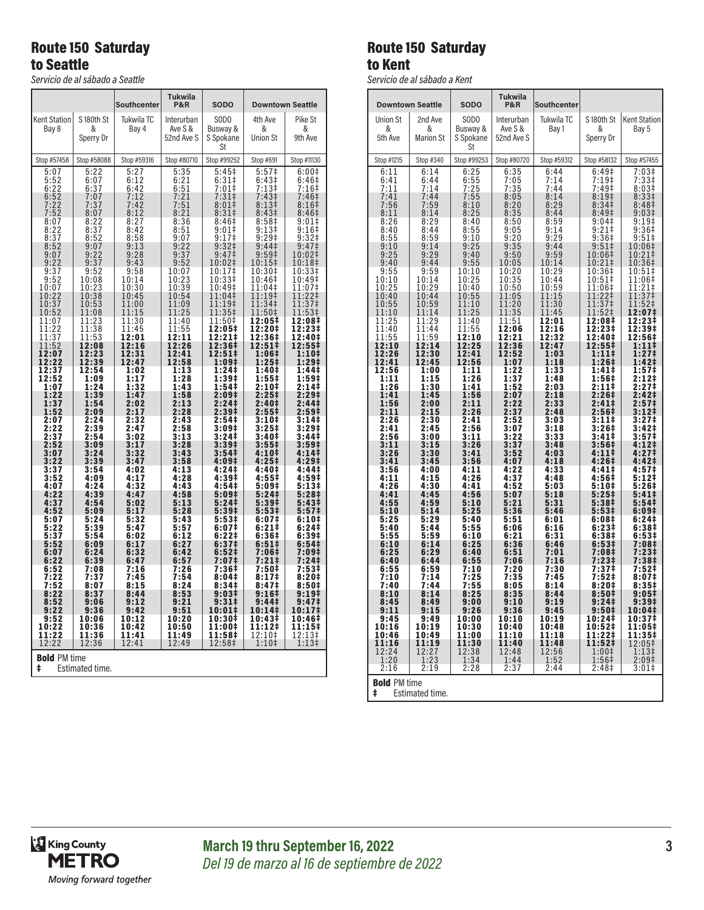# Route 150 Saturday to Seattle

*Servicio de al sábado a Seattle*

|                                                                                                                                                                                                                                                                                                                                                                                                                                                                                                                     |                                                                                                                                                                                                                                                                                                                                                                                                                                                    | Southcenter                                                                                                                                                                                                                                                                                                                                                                                                    | <b>Tukwila</b><br>P&R                                                                                                                                                                                                                                                                                                                                                                                           | <b>SODO</b>                                                                                                                                                                                                                                                                                                                                                                                                                                                                                                                                                               |                                                                                                                                                                                                                                                                                                                                                                                                                                                                                                                                                                                                            | <b>Downtown Seattle</b>                                                                                                                                                                                                                                                                                                                                                                                                                                                                                                |  |
|---------------------------------------------------------------------------------------------------------------------------------------------------------------------------------------------------------------------------------------------------------------------------------------------------------------------------------------------------------------------------------------------------------------------------------------------------------------------------------------------------------------------|----------------------------------------------------------------------------------------------------------------------------------------------------------------------------------------------------------------------------------------------------------------------------------------------------------------------------------------------------------------------------------------------------------------------------------------------------|----------------------------------------------------------------------------------------------------------------------------------------------------------------------------------------------------------------------------------------------------------------------------------------------------------------------------------------------------------------------------------------------------------------|-----------------------------------------------------------------------------------------------------------------------------------------------------------------------------------------------------------------------------------------------------------------------------------------------------------------------------------------------------------------------------------------------------------------|---------------------------------------------------------------------------------------------------------------------------------------------------------------------------------------------------------------------------------------------------------------------------------------------------------------------------------------------------------------------------------------------------------------------------------------------------------------------------------------------------------------------------------------------------------------------------|------------------------------------------------------------------------------------------------------------------------------------------------------------------------------------------------------------------------------------------------------------------------------------------------------------------------------------------------------------------------------------------------------------------------------------------------------------------------------------------------------------------------------------------------------------------------------------------------------------|------------------------------------------------------------------------------------------------------------------------------------------------------------------------------------------------------------------------------------------------------------------------------------------------------------------------------------------------------------------------------------------------------------------------------------------------------------------------------------------------------------------------|--|
| Kent Station<br>Bay 8                                                                                                                                                                                                                                                                                                                                                                                                                                                                                               | S 180th St<br>&<br>Sperry Dr                                                                                                                                                                                                                                                                                                                                                                                                                       | Tukwila TC<br>Bay 4                                                                                                                                                                                                                                                                                                                                                                                            | Interurban<br>Ave S &<br>52nd Ave S                                                                                                                                                                                                                                                                                                                                                                             | SOD <sub>0</sub><br>Busway &<br>S Spokane<br>St                                                                                                                                                                                                                                                                                                                                                                                                                                                                                                                           | 4th Ave<br>&<br><b>Union St</b>                                                                                                                                                                                                                                                                                                                                                                                                                                                                                                                                                                            | Pike St<br>&<br>9th Ave                                                                                                                                                                                                                                                                                                                                                                                                                                                                                                |  |
| Stop #57458                                                                                                                                                                                                                                                                                                                                                                                                                                                                                                         | Stop #58088                                                                                                                                                                                                                                                                                                                                                                                                                                        | Stop #59316                                                                                                                                                                                                                                                                                                                                                                                                    | Stop #80710                                                                                                                                                                                                                                                                                                                                                                                                     | Stop #99252                                                                                                                                                                                                                                                                                                                                                                                                                                                                                                                                                               | Stop #691                                                                                                                                                                                                                                                                                                                                                                                                                                                                                                                                                                                                  | Stop #11130                                                                                                                                                                                                                                                                                                                                                                                                                                                                                                            |  |
| 5:07<br>$\begin{array}{c} 5:52 \\ 6:22 \end{array}$<br>$\begin{array}{c} 6:52 \\ 7:22 \end{array}$<br>7:52<br>$\begin{array}{c} 8:07 \\ 8:22 \\ 8:37 \end{array}$<br>8:52<br>9:07<br>9:22<br>9:37<br>9:52<br>10:07<br>10:22<br>$\frac{10:37}{10:52}$<br>$\frac{11:07}{11:22}$<br>11:37<br>11:52<br>12:07<br>12:22<br>12:37<br>12:52<br>1:07<br>1:22<br>1:37<br>1:52<br>2:07<br>2:22<br>2:37<br>2:52<br>3:07<br>3:22<br>3:37<br>3:52<br>4:07<br>4:22<br>4:37<br>4:52<br>5:07<br>5:22<br>5:37<br>5:52<br>6:07<br>6:22 | 5:22<br>6:07<br>6:37<br>7:07<br>7:37<br>8:07<br>$\begin{array}{c} 8:22 \\ 8:37 \end{array}$<br>8:52<br>9:07<br>9:22<br>9:37<br>9:52<br>10:08<br>10:23<br>10:38<br>10:53<br>11:08<br>$\frac{11:23}{11:38}$<br>11:53<br>12:08<br>12:23<br>12:39<br>12:54<br>1:09<br>1:24<br>1:39<br>1:54<br>2:09<br>2:24<br>2:39<br>2:54<br>3:09<br>3:24<br>3:39<br>3:54<br>4:09<br>4:24<br>$4:39$<br>$4:54$<br>5:09<br>5:24<br>5:39<br>5:54<br>6:09<br>6:24<br>6:39 | 5:27<br>6:12<br>6:42<br>7:12<br>7:42<br>8:12<br>8:27<br>8:42<br>8:58<br>9:13<br>9:28<br>9:43<br>9:58<br>10:14<br>10:30<br>10:45<br>11:00<br>11:15<br>$\frac{11:30}{11:45}$<br>12:01<br>12:16<br>12:31<br>12:47<br>1:02<br>1:17<br>1:32<br>1:47<br>2:02<br>2:17<br>2:32<br>2:47<br>3:02<br>3:17<br>3:32<br>3:47<br>4:02<br>4:17<br>4:32<br>4:47<br>5:02<br>5:17<br>5:32<br>5:47<br>6:02<br>6:17<br>6:32<br>6:47 | 5:35<br>6:21<br>6:51<br>7:21<br>7:51<br>8:21<br>$\frac{8:36}{8:51}$<br>9:07<br>9:22<br>9:37<br>9:52<br>10:07<br>10:23<br>10:39<br>10:54<br>11:09<br>11:25<br>11:40<br>11:55<br>12:11<br>12:26<br>12:41<br>12:58<br>1:13<br>1:28<br>1:43<br>1:58<br>2:13<br>2:28<br>2:43<br>2:58<br>3:13<br>3:28<br>3:43<br>3:58<br>4:13<br>4:28<br>4:43<br>4:58<br>5:13<br>5:28<br>5:43<br>5:57<br>6:12<br>6:27<br>6:42<br>6:57 | 5:45 <sup>‡</sup><br>6:31 <sup>‡</sup><br>$7:01$ ‡<br>7:31‡<br>8:01‡<br>8:31 <sup>‡</sup><br>8:46‡<br>9:01‡<br>9:17‡<br>9:32 <sup>†</sup><br>9:47 <sup>‡</sup><br>10:02‡<br>10:17‡<br>10:33‡<br>10:49‡<br>11:04‡<br>11:19‡<br>11:35‡<br>$11:50†$<br>12:05‡<br>12:21‡<br>12:36‡<br>12:51‡<br>1:09 <sup>‡</sup><br>1:24‡<br>1:39‡<br>1:54‡<br>2:09‡<br>2:24‡<br>2:39‡<br>2:54‡<br>3:09‡<br>3:24‡<br>3:39 <sup>‡</sup><br>3:54‡<br>4:09‡<br>4:24 <sup>‡</sup><br>4:39‡<br>4:54‡<br>5:09‡<br>5:241<br>5:39‡<br>5:53‡<br>6:07‡<br>6:22‡<br>6:37‡<br>6:52 <sup>‡</sup><br>7:07‡ | 5:57 <sup>‡</sup><br>6:43 <sup>‡</sup><br>$7:13+$<br>7:43 <sup>‡</sup><br>8:13 <sup>‡</sup><br>8:43 <sup>‡</sup><br>8:58 <sup>‡</sup><br>$9:13+$<br>$9:29$ ‡<br>9:44 <sup>‡</sup><br>9:59‡<br>10:15‡<br>10:30‡<br>10:46‡<br>11:04‡<br>11:19‡<br>$\overline{1}$<br>1:34‡<br>$\mathbf{1}$<br>1:50‡<br>12:05‡<br>12:20‡<br>12:36‡<br>12:51‡<br>1:06‡<br>1:25 <sup>‡</sup><br>1:40‡<br>1:551<br>2:10‡<br>2:25 <sup>‡</sup><br>2:40‡<br>2:55‡<br>3:10‡<br>3:25‡<br>3:40‡<br>3:55‡<br>4:10‡<br>4:25‡<br>4:40‡<br>4:55‡<br>5:09‡<br>5:24‡<br>5:39‡<br>5:53‡<br>6:07‡<br>6:21‡<br>6:36‡<br>6:51‡<br>7:06‡<br>7:21‡ | 6:00‡<br>6:46‡<br>7:16‡<br>7:46‡<br>8:16‡<br>8:46 <sup>‡</sup><br>9:01‡<br>$9:16+$<br>9:32 <sup>†</sup><br>9:47 <sup>‡</sup><br>10:02‡<br>10:18‡<br>10:33‡<br>10:49‡<br>11:07‡<br>11:22‡<br>1:37 <sup>‡</sup><br>1<br>1<br>1:5<br>3‡<br>12:08‡<br>12:23‡<br>12:40‡<br>12:55‡<br>1:10‡<br>1:29‡<br>1:44‡<br>1:59‡<br>2:14‡<br>2:29‡<br>2:44‡<br>2:59‡<br>3:14‡<br>3:29‡<br>3:44‡<br>3:59‡<br>4:14‡<br>4:29‡<br>4:44‡<br>4:59‡<br>5:13#<br>5:28‡<br>5:431<br>5:57‡<br>6:10‡<br>6:24‡<br>6:39‡<br>6:54‡<br>7:09‡<br>7:24‡ |  |
| 7:22<br>7:52<br>8:22<br>8:52<br>9:22<br>9:52<br>10:22<br>11:22<br>12:22                                                                                                                                                                                                                                                                                                                                                                                                                                             | 7:37<br>8:07<br>8:37<br>9:06<br>9:36<br>10:06<br>10:36<br>11:36<br>12:36                                                                                                                                                                                                                                                                                                                                                                           | 7:45<br>8:15<br>8:44<br>9:12<br>9:42<br>10:12<br>10:42<br>11:41<br>12:41                                                                                                                                                                                                                                                                                                                                       | 7:54<br>8:24<br>8:53<br>9:21<br>9:51<br>10:20<br>10:50<br>11:49<br>12:49                                                                                                                                                                                                                                                                                                                                        | 8:04‡<br>8:34‡<br>9:03‡<br>9:31‡<br>10:01‡<br>10:30‡<br>11:00‡<br>11:58‡<br>12:58‡                                                                                                                                                                                                                                                                                                                                                                                                                                                                                        | 8:17‡<br>8:47 <sup>‡</sup><br>9:16‡<br>9:44‡<br>10:14‡<br>10:43‡<br>11:12‡<br>12:10‡<br>1:10 <sup>‡</sup>                                                                                                                                                                                                                                                                                                                                                                                                                                                                                                  | 8:20‡<br>8:50‡<br>9:19‡<br>9:47‡<br>10:17‡<br>10:46‡<br>11:15‡<br>12:13‡<br>1:13‡                                                                                                                                                                                                                                                                                                                                                                                                                                      |  |
| <b>Bold PM time</b><br>ŧ<br>Estimated time.                                                                                                                                                                                                                                                                                                                                                                                                                                                                         |                                                                                                                                                                                                                                                                                                                                                                                                                                                    |                                                                                                                                                                                                                                                                                                                                                                                                                |                                                                                                                                                                                                                                                                                                                                                                                                                 |                                                                                                                                                                                                                                                                                                                                                                                                                                                                                                                                                                           |                                                                                                                                                                                                                                                                                                                                                                                                                                                                                                                                                                                                            |                                                                                                                                                                                                                                                                                                                                                                                                                                                                                                                        |  |

# Route 150 Saturday to Kent

*Servicio de al sábado a Kent*

| <b>Downtown Seattle</b>  |                  | <b>SODO</b>      | <b>Tukwila</b><br>P&R | <b>Southcenter</b> |                             |                            |
|--------------------------|------------------|------------------|-----------------------|--------------------|-----------------------------|----------------------------|
| Union St                 | 2nd Ave          | SOD <sub>0</sub> | Interurban            | Tukwila TC         | S 180th St                  | <b>Kent Station</b>        |
| &                        | &                | Busway &         | Ave S &               | Bay 1              | &                           | Bay 5                      |
| 5th Ave                  | <b>Marion St</b> | S Spokane<br>St  | 52nd Ave S            |                    | Sperry Dr                   |                            |
| Stop #1215               | Stop #340        | Stop #99253      | Stop #80720           | Stop #59312        | Stop #58132                 | Stop #57455                |
| 6:11                     | 6:14             | 6:25             | 6:35                  | 6:44               | 6:49‡                       | 7:03‡                      |
| 6:41<br>7:11             | 6:44<br>7:14     | 6:55<br>7:25     | 7:05<br>7:35          | 7:14<br>7:44       | 7:19‡<br>7:49‡              | 7:33 <sup>‡</sup><br>8:03‡ |
| 7:41                     | 7:44             | 7:55             | 8:05                  | 8:14               | 8:19 <sup>‡</sup>           | 8:33‡                      |
| 7:56                     | 7:59             | 8:10<br>8:25     | 8:20                  | 8:29               | 8:34‡                       | 8:48‡                      |
| 8:11<br>8:26             | 8:14<br>8:29     | 8:40             | 8:35<br>8:50          | 8:44<br>8:59       | 8:49 <sup>‡</sup><br>9:04‡  | 9:03 <sup>‡</sup><br>9:19‡ |
| 8:40                     | 8:44             | 8:55             | 9:05                  | 9:14               | $9:21 \pm$                  | 9:36‡                      |
| 8:55<br>9:10             | 8:59<br>9:14     | 9:10<br>9:25     | 9:20<br>9:35          | 9:29<br>9:44       | 9:36‡<br>$9:51$ ‡           | 9:51‡<br>10:06‡            |
| 9:25                     | 9:29             | 9:40             | 9:50                  | 9:59               | 10:06‡                      | 10:21‡                     |
| 9:40<br>9:55             | 9:44<br>9:59     | 9:55<br>10:10    | 10:05<br>10:20        | 10:14<br>10:29     | 10:21‡<br>10:36‡            | 10:36‡<br>10:51‡           |
| 10:10                    | 10:14            | 10:25            | 10:35                 | 10:44              | 10:51‡                      | 11:06‡                     |
| 10:25                    | 10:29            | 10:40            | 10:50                 | 10:59              | 11:06‡                      | 11:21‡                     |
| 10:40<br>10:55           | 10:44<br>10:59   | 10:55<br>11:10   | 11:05<br>11:20        | 11:15<br>11:30     | 11:22‡<br>11:37‡            | 11:37‡<br>11:52‡           |
| 11:10                    | 11:14            | 11:25            | 11:35                 | 11:45              | 11:52‡                      | 12:07‡                     |
| 11:25<br>11:40           | 11:29<br>11:44   | 11:40<br>11:55   | 11:51<br>12:06        | 12:01<br>12:16     | 12:08‡<br>12:23‡            | 12:23‡<br>12:39‡           |
| 11:55                    | 11:59            | 12:10            | 12:21                 | 12:32              | 12:40‡                      | 12:56‡                     |
| 12:10<br>12:26           | 12:14<br>12:30   | 12:25<br>12:41   | 12:36<br>12:52        | 12:47<br>1:03      | 12:55‡<br>1:11‡             | 1:11‡<br>1:27‡             |
| 12:41                    | 12:45            | 12:56            | 1:07                  | 1:18               | 1:26‡                       | 1:42 <sup>‡</sup>          |
| 12:56                    | 1:00<br>1:15     | 1:11<br>1:26     | 1:22<br>1:37          | 1:33               | 1:41‡                       | 1:57‡                      |
| 1:11<br>1:26             | 1:30             | 1:41             | 1:52                  | 1:48<br>2:03       | 1:56‡<br>2:11‡              | 2:12‡<br>2:27‡             |
| 1:41                     | 1:45             | 1:56             | 2:07                  | 2:18               | 2:26‡                       | 2:42‡                      |
| 1:56<br>2:11             | 2:00<br>2:15     | 2:11<br>2:26     | 2:22<br>2:37          | 2:33<br>2:48       | 2:41‡<br>2:56‡              | 2:57‡<br>$3:12 \ddagger$   |
| 2:26                     | 2:30             | 2:41             | 2:52                  | 3:03               | 3:11‡                       | 3:27‡                      |
| 2:41<br>2:56             | 2:45<br>3:00     | 2:56<br>3:11     | 3:07<br>3:22          | 3:18<br>3:33       | 3:26‡<br>3:41‡              | 3:42‡<br>3:57‡             |
| 3:11                     | 3:15             | 3:26             | 3:37                  | 3:48               | 3:56‡                       | 4:12‡                      |
| 3:26<br>3:41             | 3:30<br>3:45     | 3:41<br>3:56     | 3:52<br>4:07          | 4:03<br>4:18       | 4:11‡<br>4:26‡              | 4:27‡<br>4:42‡             |
| 3:56                     | 4:00             | 4:11             | 4:22                  | 4:33               | 4:41‡                       | 4:57‡                      |
| 4:11<br>4:26             | 4:15<br>4:30     | 4:26<br>4:41     | 4:37<br>4:52          | 4:48<br>5:03       | 4:56‡<br>5:10‡              | 5:12‡<br>5:26‡             |
| 4:41                     | 4:45             | 4:56             | 5:07                  | 5:18               | 5:25‡                       | 5:41‡                      |
| 4:55<br>5:10             | 4:59<br>5:14     | 5:10<br>5:25     | 5:21<br>5:36          | 5:31<br>5:46       | 5:38‡<br>5:53‡              | 5:54‡<br>6:09‡             |
| 5:25                     | 5:29             | 5:40             | 5:51                  | 6:01               | 6:08‡                       | 6:24‡                      |
| 5:40<br>5:55             | 5:44<br>5:59     | 5:55<br>6:10     | 6:06<br>6:21          | 6:16<br>6:31       | 6:23‡<br>6:38‡              | 6:38‡<br>6:53‡             |
| 6:10                     | 6:14             | 6:25             | 6:36                  | 6:46               | 6:53‡                       | 7:08‡                      |
| 6:25                     | 6:29<br>6:44     | 6:40             | 6:51                  | 7:01               | 7:08‡                       | 7:23‡                      |
| 6:40<br>6:55             | 6:59             | 6:55<br>7:10     | 7:06<br>7:20          | 7:16<br>7:30       | 7:23‡<br>7:37‡              | 7:38‡<br>7:52‡             |
| 7:10                     | 7:14             | 7:25             | 7:35                  | 7:45               | 7:52‡                       | 8:07‡                      |
| 7:40<br>8:10             | 7:44<br>8:14     | 7:55<br>8:25     | 8:05<br>8:35          | 8:14<br>8:44       | 8:20‡<br>8:50 <sup>‡</sup>  | 8:35‡<br>9:05‡             |
| 8:45                     | 8:49             | 9:00             | 9:10                  | 9:19               | 9:24‡                       | 9:39‡                      |
| 9:11<br>9:45             | 9:15<br>9:49     | 9:26<br>10:00    | 9:36<br>10:10         | 9:45<br>10:19      | 9:50 <sup>‡</sup><br>10:24‡ | 10:04‡<br>10:37‡           |
| 10:16                    | 10:19            | 10:30            | 10:40                 | 10:48              | 10:52‡                      | 11:05‡                     |
| 10:46<br>11:16           | 10:49<br>11:19   | 11:00<br>11:30   | 11:10<br>11:40        | 11:18<br>11:48     | 11:22‡<br>11:52‡            | 11:35‡<br>12:05‡           |
| 12:24                    | 12:27            | 12:38            | 12:48                 | 12:56              | 1:001                       | $1:13+$                    |
| 1:20<br>2:16             | 1:23<br>2:19     | 1:34<br>2:28     | 1:44<br>2:37          | 1:52<br>2:44       | 1:56‡<br>2:48‡              | 2:09 <sup>‡</sup><br>3:01‡ |
|                          |                  |                  |                       |                    |                             |                            |
| <b>Bold PM time</b><br>ŧ | Estimated time.  |                  |                       |                    |                             |                            |
|                          |                  |                  |                       |                    |                             |                            |